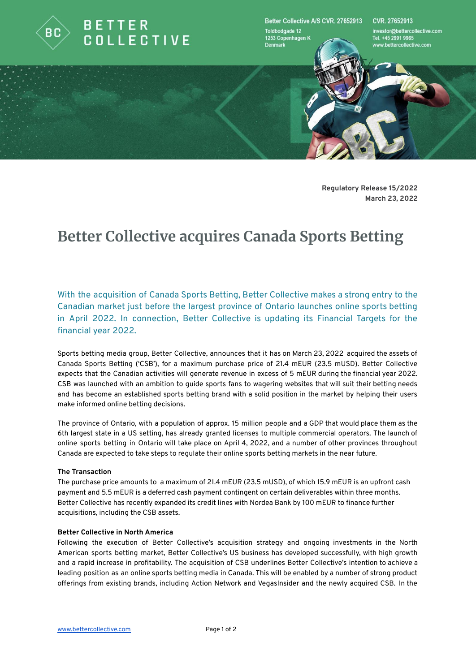

Better Collective A/S CVR. 27652913 **Toldbodgade 12** 1253 Copenhagen K

**Denmark** 

CVR 27652913

investor@bettercollective.com<br>Tel. +45 2991 9965 www.bettercollective.com

**Regulatory Release 15/2022 March 23, 2022**

# **Better Collective acquires Canada Sports Betting**

With the acquisition of Canada Sports Betting, Better Collective makes a strong entry to the Canadian market just before the largest province of Ontario launches online sports betting in April 2022. In connection, Better Collective is updating its Financial Targets for the financial year 2022.

Sports betting media group, Better Collective, announces that it has on March 23, 2022 acquired the assets of Canada Sports Betting ('CSB'), for a maximum purchase price of 21.4 mEUR (23.5 mUSD). Better Collective expects that the Canadian activities will generate revenue in excess of 5 mEUR during the financial year 2022. CSB was launched with an ambition to guide sports fans to wagering websites that will suit their betting needs and has become an established sports betting brand with a solid position in the market by helping their users make informed online betting decisions.

The province of Ontario, with a population of approx. 15 million people and a GDP that would place them as the 6th largest state in a US setting, has already granted licenses to multiple commercial operators. The launch of online sports betting in Ontario will take place on April 4, 2022, and a number of other provinces throughout Canada are expected to take steps to regulate their online sports betting markets in the near future.

### **The Transaction**

The purchase price amounts to a maximum of 21.4 mEUR (23.5 mUSD), of which 15.9 mEUR is an upfront cash payment and 5.5 mEUR is a deferred cash payment contingent on certain deliverables within three months. Better Collective has recently expanded its credit lines with Nordea Bank by 100 mEUR to finance further acquisitions, including the CSB assets.

### **Better Collective in North America**

Following the execution of Better Collective's acquisition strategy and ongoing investments in the North American sports betting market, Better Collective's US business has developed successfully, with high growth and a rapid increase in profitability. The acquisition of CSB underlines Better Collective's intention to achieve a leading position as an online sports betting media in Canada. This will be enabled by a number of strong product offerings from existing brands, including Action Network and VegasInsider and the newly acquired CSB. In the